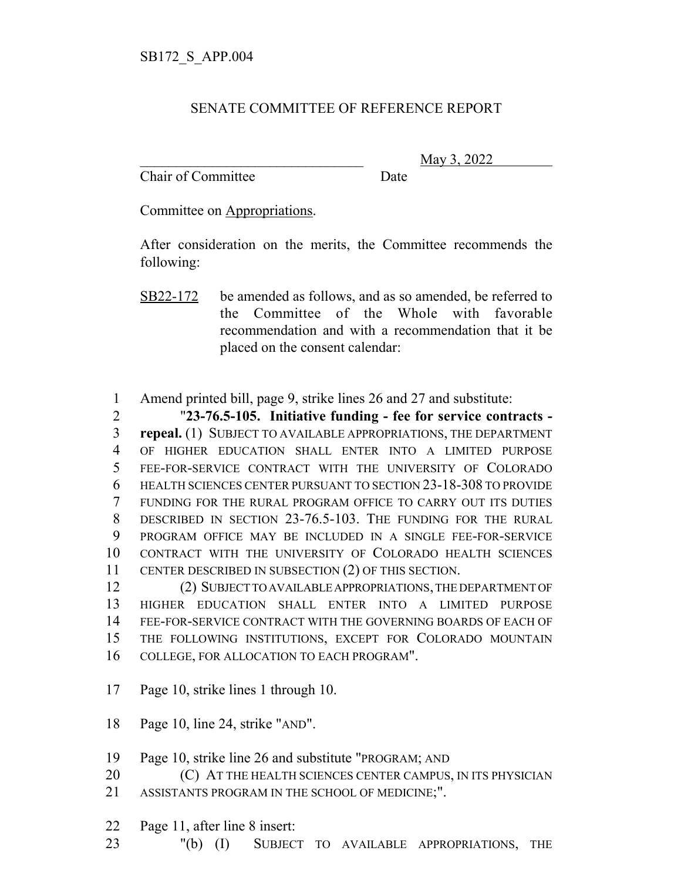## SENATE COMMITTEE OF REFERENCE REPORT

Chair of Committee Date

\_\_\_\_\_\_\_\_\_\_\_\_\_\_\_\_\_\_\_\_\_\_\_\_\_\_\_\_\_\_\_ May 3, 2022

Committee on Appropriations.

After consideration on the merits, the Committee recommends the following:

Amend printed bill, page 9, strike lines 26 and 27 and substitute:

 "**23-76.5-105. Initiative funding - fee for service contracts - repeal.** (1) SUBJECT TO AVAILABLE APPROPRIATIONS, THE DEPARTMENT OF HIGHER EDUCATION SHALL ENTER INTO A LIMITED PURPOSE FEE-FOR-SERVICE CONTRACT WITH THE UNIVERSITY OF COLORADO HEALTH SCIENCES CENTER PURSUANT TO SECTION 23-18-308 TO PROVIDE FUNDING FOR THE RURAL PROGRAM OFFICE TO CARRY OUT ITS DUTIES DESCRIBED IN SECTION 23-76.5-103. THE FUNDING FOR THE RURAL PROGRAM OFFICE MAY BE INCLUDED IN A SINGLE FEE-FOR-SERVICE CONTRACT WITH THE UNIVERSITY OF COLORADO HEALTH SCIENCES CENTER DESCRIBED IN SUBSECTION (2) OF THIS SECTION.

 (2) SUBJECT TO AVAILABLE APPROPRIATIONS, THE DEPARTMENT OF HIGHER EDUCATION SHALL ENTER INTO A LIMITED PURPOSE FEE-FOR-SERVICE CONTRACT WITH THE GOVERNING BOARDS OF EACH OF THE FOLLOWING INSTITUTIONS, EXCEPT FOR COLORADO MOUNTAIN COLLEGE, FOR ALLOCATION TO EACH PROGRAM".

- Page 10, strike lines 1 through 10.
- Page 10, line 24, strike "AND".
- Page 10, strike line 26 and substitute "PROGRAM; AND
- **C**) AT THE HEALTH SCIENCES CENTER CAMPUS, IN ITS PHYSICIAN
- ASSISTANTS PROGRAM IN THE SCHOOL OF MEDICINE;".
- Page 11, after line 8 insert:
- "(b) (I) SUBJECT TO AVAILABLE APPROPRIATIONS, THE

SB22-172 be amended as follows, and as so amended, be referred to the Committee of the Whole with favorable recommendation and with a recommendation that it be placed on the consent calendar: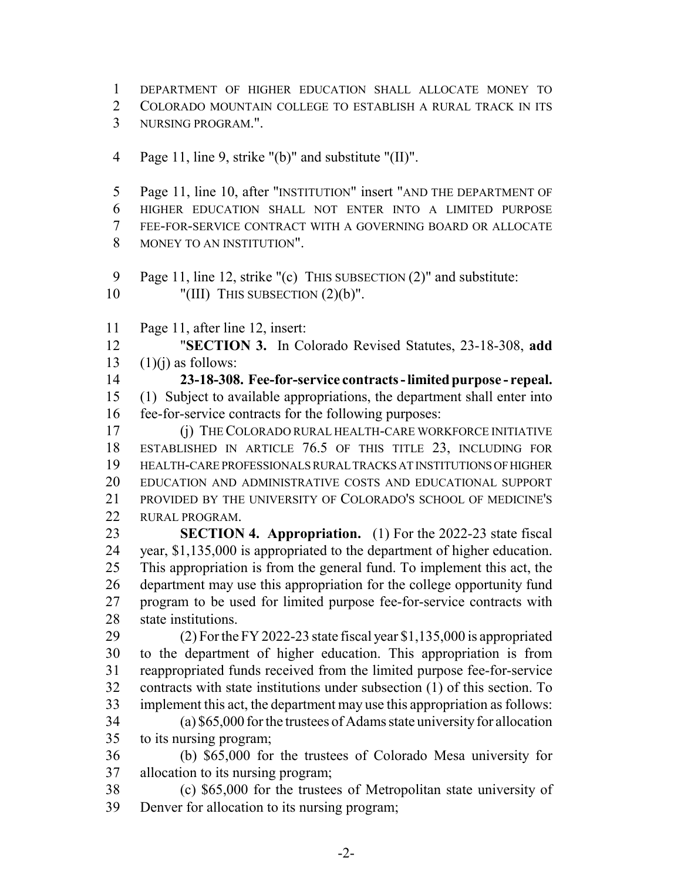DEPARTMENT OF HIGHER EDUCATION SHALL ALLOCATE MONEY TO

COLORADO MOUNTAIN COLLEGE TO ESTABLISH A RURAL TRACK IN ITS

- NURSING PROGRAM.".
- Page 11, line 9, strike "(b)" and substitute "(II)".

 Page 11, line 10, after "INSTITUTION" insert "AND THE DEPARTMENT OF HIGHER EDUCATION SHALL NOT ENTER INTO A LIMITED PURPOSE FEE-FOR-SERVICE CONTRACT WITH A GOVERNING BOARD OR ALLOCATE MONEY TO AN INSTITUTION".

9 Page 11, line 12, strike "(c) THIS SUBSECTION (2)" and substitute: 10 "(III) THIS SUBSECTION  $(2)(b)$ ".

Page 11, after line 12, insert:

 "**SECTION 3.** In Colorado Revised Statutes, 23-18-308, **add** 13  $(1)(i)$  as follows:

 **23-18-308. Fee-for-service contracts - limited purpose - repeal.** (1) Subject to available appropriations, the department shall enter into fee-for-service contracts for the following purposes:

 (j) THE COLORADO RURAL HEALTH-CARE WORKFORCE INITIATIVE ESTABLISHED IN ARTICLE 76.5 OF THIS TITLE 23, INCLUDING FOR HEALTH-CARE PROFESSIONALS RURAL TRACKS AT INSTITUTIONS OF HIGHER EDUCATION AND ADMINISTRATIVE COSTS AND EDUCATIONAL SUPPORT PROVIDED BY THE UNIVERSITY OF COLORADO'S SCHOOL OF MEDICINE'S RURAL PROGRAM.

 **SECTION 4. Appropriation.** (1) For the 2022-23 state fiscal year, \$1,135,000 is appropriated to the department of higher education. This appropriation is from the general fund. To implement this act, the department may use this appropriation for the college opportunity fund program to be used for limited purpose fee-for-service contracts with state institutions.

 (2) For the FY 2022-23 state fiscal year \$1,135,000 is appropriated to the department of higher education. This appropriation is from reappropriated funds received from the limited purpose fee-for-service contracts with state institutions under subsection (1) of this section. To implement this act, the department may use this appropriation as follows:

 (a) \$65,000 for the trustees of Adams state university for allocation to its nursing program;

 (b) \$65,000 for the trustees of Colorado Mesa university for allocation to its nursing program;

 (c) \$65,000 for the trustees of Metropolitan state university of Denver for allocation to its nursing program;